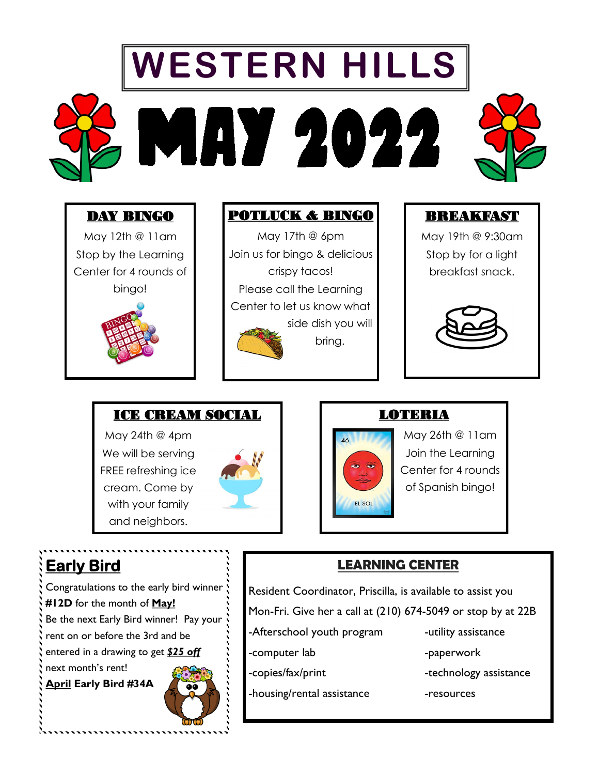# **WESTERN HILLS** MAY 2022

#### DAY BINGO

May 12th @ 11am Stop by the Learning Center for 4 rounds of bingo!



#### POTLUCK & BINGO

May 17th @ 6pm Join us for bingo & delicious crispy tacos! Please call the Learning Center to let us know what side dish you will bring.



 $\overline{AB}$ 

EL SOL

#### BREAKFAST

May 19th @ 9:30am Stop by for a light breakfast snack.



May 26th @ 11am Join the Learning Center for 4 rounds of Spanish bingo!

#### ICE CREAM SOCIAL

May 24th @ 4pm We will be serving FREE refreshing ice cream. Come by with your family and neighbors.



# **Early Bird**

Congratulations to the early bird winner **#12D** for the month of **May!** Be the next Early Bird winner! Pay your rent on or before the 3rd and be entered in a drawing to get *\$25 off*  next month's rent! **April Early Bird #34A**



## Resident Coordinator, Priscilla, is available to assist you Mon-Fri. Give her a call at (210) 674-5049 or stop by at 22B -Afterschool youth program -utility assistance

**LEARNING CENTER**

LOTERIA

- 
- 

-housing/rental assistance extended resources

- 
- -computer lab -paperwork
- -copies/fax/print -technology assistance
	-